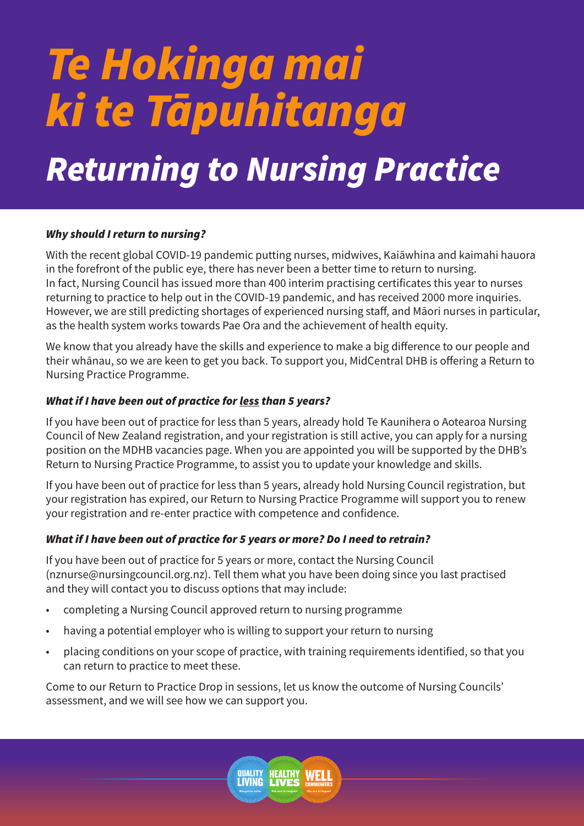# *Te Hokinga mai ki te Tāpuhitanga*

# *Returning to Nursing Practice*

# *Why should I return to nursing?*

With the recent global COVID-19 pandemic putting nurses, midwives, Kaiāwhina and kaimahi hauora in the forefront of the public eye, there has never been a better time to return to nursing. In fact, Nursing Council has issued more than 400 interim practising certificates this year to nurses returning to practice to help out in the COVID-19 pandemic, and has received 2000 more inquiries. However, we are still predicting shortages of experienced nursing staff, and Māori nurses in particular, as the health system works towards Pae Ora and the achievement of health equity.

We know that you already have the skills and experience to make a big difference to our people and their whānau, so we are keen to get you back. To support you, MidCentral DHB is offering a Return to Nursing Practice Programme.

# *What if I have been out of practice for less than 5 years?*

If you have been out of practice for less than 5 years, already hold Te Kaunihera o Aotearoa Nursing Council of New Zealand registration, and your registration is still active, you can apply for a nursing position on the MDHB vacancies page. When you are appointed you will be supported by the DHB's Return to Nursing Practice Programme, to assist you to update your knowledge and skills.

If you have been out of practice for less than 5 years, already hold Nursing Council registration, but your registration has expired, our Return to Nursing Practice Programme will support you to renew your registration and re-enter practice with competence and confidence.

# *What if I have been out of practice for 5 years or more? Do I need to retrain?*

If you have been out of practice for 5 years or more, contact the Nursing Council (nznurse@nursingcouncil.org.nz). Tell them what you have been doing since you last practised and they will contact you to discuss options that may include:

- completing a Nursing Council approved return to nursing programme
- having a potential employer who is willing to support your return to nursing
- placing conditions on your scope of practice, with training requirements identified, so that you can return to practice to meet these.

Come to our Return to Practice Drop in sessions, let us know the outcome of Nursing Councils' assessment, and we will see how we can support you.